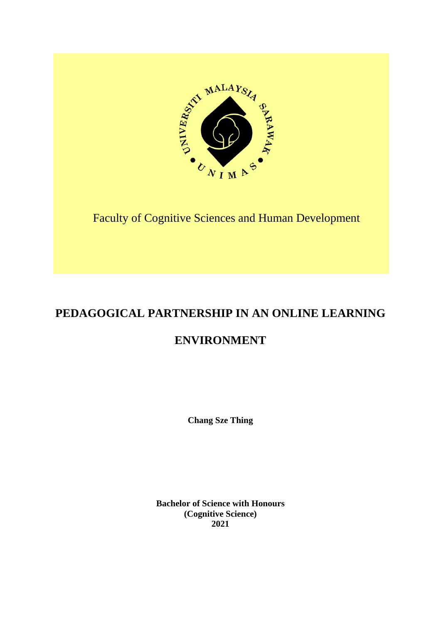

Faculty of Cognitive Sciences and Human Development

# **PEDAGOGICAL PARTNERSHIP IN AN ONLINE LEARNING**

# **ENVIRONMENT**

**Chang Sze Thing**

**Bachelor of Science with Honours (Cognitive Science) 2021**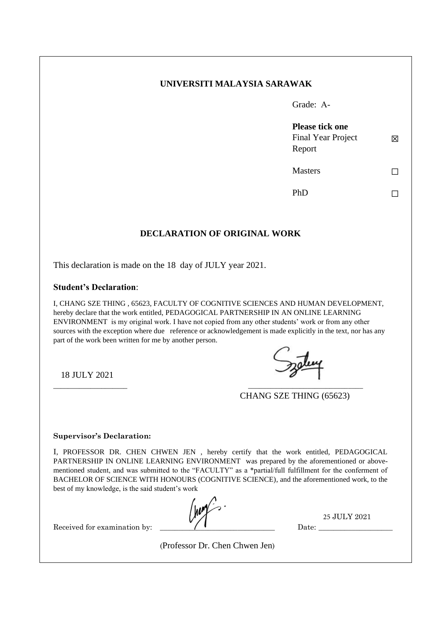# **UNIVERSITI MALAYSIA SARAWAK**

Grade: A-

☒ **Please tick one**  Final Year Project Report

**Masters** 

☐

 $PhD$   $\Box$ 

# **DECLARATION OF ORIGINAL WORK**

This declaration is made on the 18 day of JULY year 2021.

## **Student's Declaration**:

I, CHANG SZE THING , 65623, FACULTY OF COGNITIVE SCIENCES AND HUMAN DEVELOPMENT, hereby declare that the work entitled, PEDAGOGICAL PARTNERSHIP IN AN ONLINE LEARNING ENVIRONMENT is my original work. I have not copied from any other students' work or from any other sources with the exception where due reference or acknowledgement is made explicitly in the text, nor has any part of the work been written for me by another person.

18 JULY 2021

\_\_\_\_\_\_\_\_\_\_\_\_\_\_\_\_\_\_\_\_ \_\_\_\_\_\_\_\_\_\_\_\_\_\_\_\_\_\_\_\_\_\_\_\_\_\_\_\_\_\_\_

CHANG SZE THING (65623)

#### **Supervisor's Declaration:**

I, PROFESSOR DR. CHEN CHWEN JEN , hereby certify that the work entitled, PEDAGOGICAL PARTNERSHIP IN ONLINE LEARNING ENVIRONMENT was prepared by the aforementioned or abovementioned student, and was submitted to the "FACULTY" as a \*partial/full fulfillment for the conferment of BACHELOR OF SCIENCE WITH HONOURS (COGNITIVE SCIENCE), and the aforementioned work, to the best of my knowledge, is the said student's work

25 JULY 2021

Received for examination by:

Date:

(Professor Dr. Chen Chwen Jen)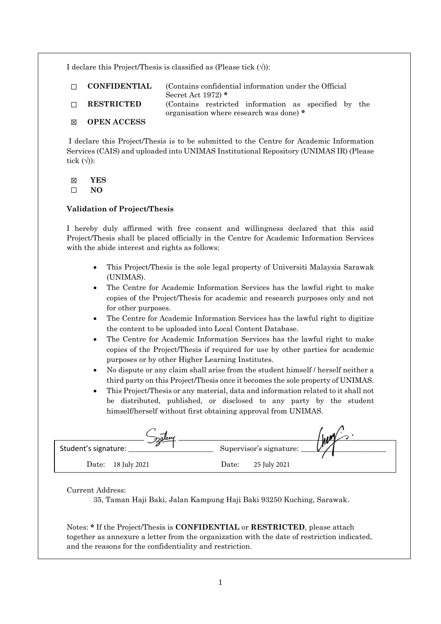I declare this Project/Thesis is classified as (Please tick  $(\forall)$ ):

| $\Box$ | <b>CONFIDENTIAL</b> | (Contains confidential information under the Official)<br>Secret Act 1972) $*$                  |
|--------|---------------------|-------------------------------------------------------------------------------------------------|
| $\Box$ | <b>RESTRICTED</b>   | (Contains restricted information as specified by the<br>organisation where research was done) * |
| ⊠      | <b>OPEN ACCESS</b>  |                                                                                                 |

I declare this Project/Thesis is to be submitted to the Centre for Academic Information Services (CAIS) and uploaded into UNIMAS Institutional Repository (UNIMAS IR) (Please tick  $(\langle \rangle)$ :

☒ **YES**

☐ **NO**

## **Validation of Project/Thesis**

I hereby duly affirmed with free consent and willingness declared that this said Project/Thesis shall be placed officially in the Centre for Academic Information Services with the abide interest and rights as follows:

- This Project/Thesis is the sole legal property of Universiti Malaysia Sarawak (UNIMAS).
- The Centre for Academic Information Services has the lawful right to make copies of the Project/Thesis for academic and research purposes only and not for other purposes.
- The Centre for Academic Information Services has the lawful right to digitize the content to be uploaded into Local Content Database.
- The Centre for Academic Information Services has the lawful right to make copies of the Project/Thesis if required for use by other parties for academic purposes or by other Higher Learning Institutes.
- No dispute or any claim shall arise from the student himself / herself neither a third party on this Project/Thesis once it becomes the sole property of UNIMAS.
- This Project/Thesis or any material, data and information related to it shall not be distributed, published, or disclosed to any party by the student himself/herself without first obtaining approval from UNIMAS.

| zalew                |                         |   |
|----------------------|-------------------------|---|
| Student's signature: | Supervisor's signature: | т |
| Date: 18 July 2021   | 25 July 2021<br>Date:   |   |

Current Address:

35, Taman Haji Baki, Jalan Kampung Haji Baki 93250 Kuching, Sarawak.

Notes: **\*** If the Project/Thesis is **CONFIDENTIAL** or **RESTRICTED**, please attach together as annexure a letter from the organization with the date of restriction indicated, and the reasons for the confidentiality and restriction.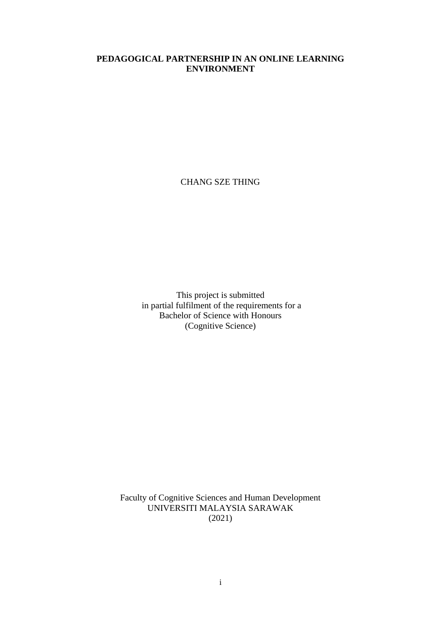# **PEDAGOGICAL PARTNERSHIP IN AN ONLINE LEARNING ENVIRONMENT**

CHANG SZE THING

This project is submitted in partial fulfilment of the requirements for a Bachelor of Science with Honours (Cognitive Science)

Faculty of Cognitive Sciences and Human Development UNIVERSITI MALAYSIA SARAWAK (2021)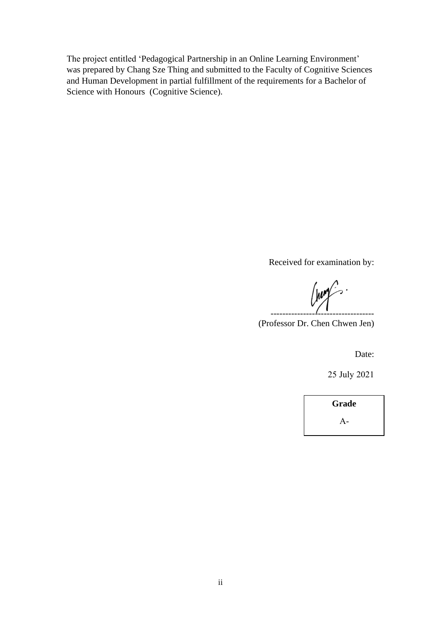The project entitled 'Pedagogical Partnership in an Online Learning Environment' was prepared by Chang Sze Thing and submitted to the Faculty of Cognitive Sciences and Human Development in partial fulfillment of the requirements for a Bachelor of Science with Honours (Cognitive Science).

Received for examination by:

(nomen) -----------------------------------

(Professor Dr. Chen Chwen Jen)

Date:

25 July 2021

**Grade**  $A-$ 

**A**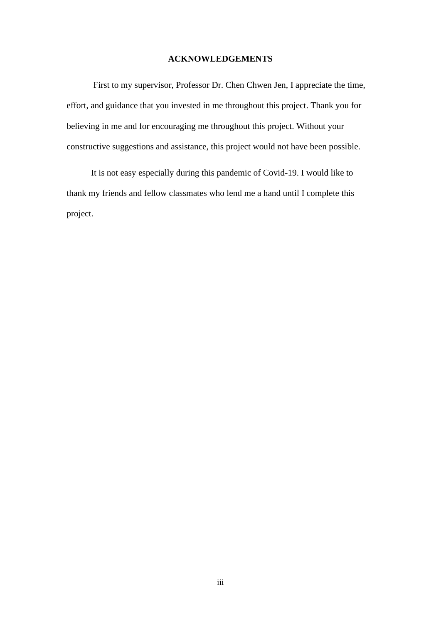#### **ACKNOWLEDGEMENTS**

First to my supervisor, Professor Dr. Chen Chwen Jen, I appreciate the time, effort, and guidance that you invested in me throughout this project. Thank you for believing in me and for encouraging me throughout this project. Without your constructive suggestions and assistance, this project would not have been possible.

 It is not easy especially during this pandemic of Covid-19. I would like to thank my friends and fellow classmates who lend me a hand until I complete this project.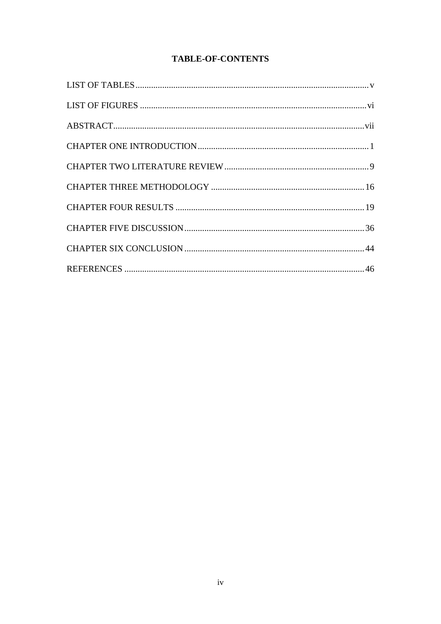# **TABLE-OF-CONTENTS**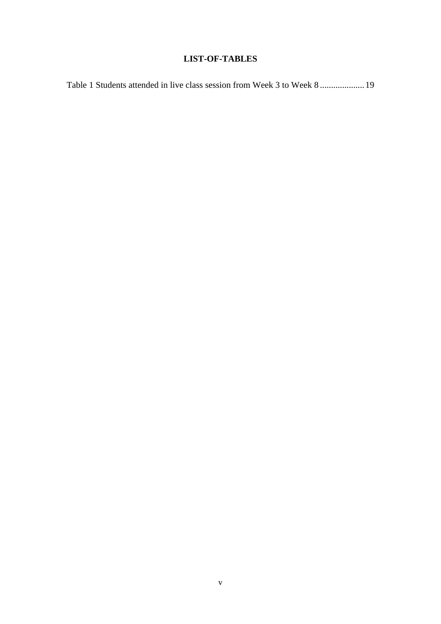# **LIST-OF-TABLES**

Table 1 Students attended in live class session from Week 3 to Week 8 ....................19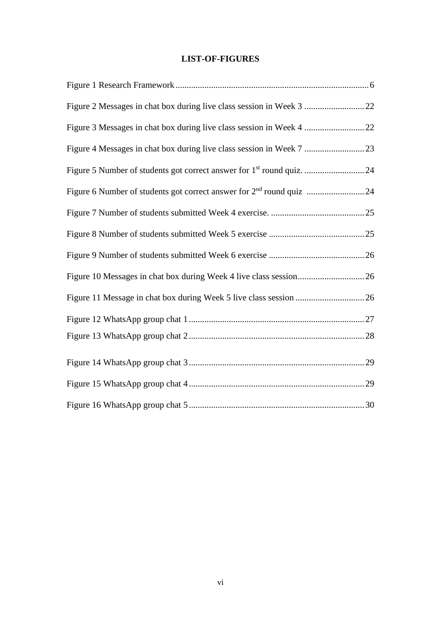# **LIST-OF-FIGURES**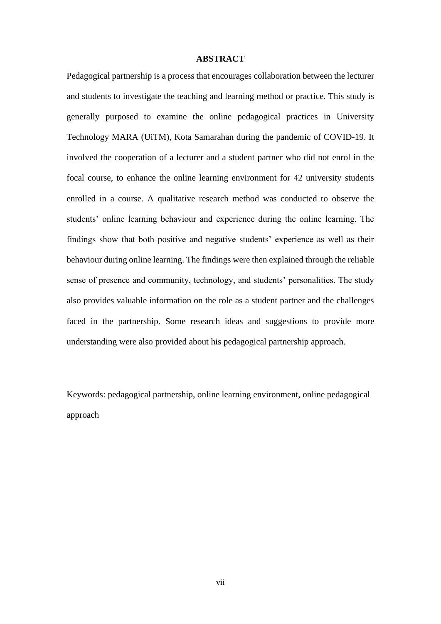#### **ABSTRACT**

Pedagogical partnership is a process that encourages collaboration between the lecturer and students to investigate the teaching and learning method or practice. This study is generally purposed to examine the online pedagogical practices in University Technology MARA (UiTM), Kota Samarahan during the pandemic of COVID-19. It involved the cooperation of a lecturer and a student partner who did not enrol in the focal course, to enhance the online learning environment for 42 university students enrolled in a course. A qualitative research method was conducted to observe the students' online learning behaviour and experience during the online learning. The findings show that both positive and negative students' experience as well as their behaviour during online learning. The findings were then explained through the reliable sense of presence and community, technology, and students' personalities. The study also provides valuable information on the role as a student partner and the challenges faced in the partnership. Some research ideas and suggestions to provide more understanding were also provided about his pedagogical partnership approach.

Keywords: pedagogical partnership, online learning environment, online pedagogical approach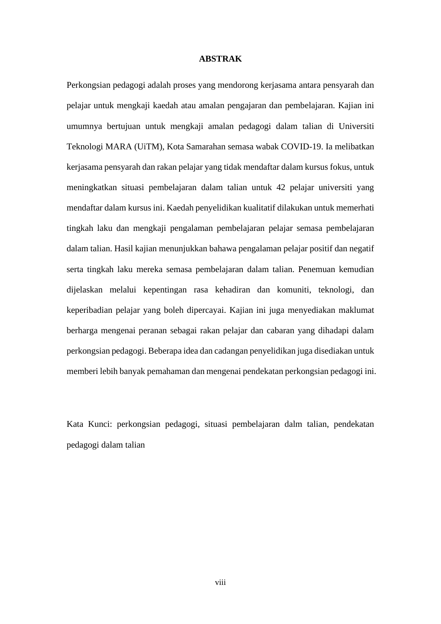#### **ABSTRAK**

Perkongsian pedagogi adalah proses yang mendorong kerjasama antara pensyarah dan pelajar untuk mengkaji kaedah atau amalan pengajaran dan pembelajaran. Kajian ini umumnya bertujuan untuk mengkaji amalan pedagogi dalam talian di Universiti Teknologi MARA (UiTM), Kota Samarahan semasa wabak COVID-19. Ia melibatkan kerjasama pensyarah dan rakan pelajar yang tidak mendaftar dalam kursus fokus, untuk meningkatkan situasi pembelajaran dalam talian untuk 42 pelajar universiti yang mendaftar dalam kursus ini. Kaedah penyelidikan kualitatif dilakukan untuk memerhati tingkah laku dan mengkaji pengalaman pembelajaran pelajar semasa pembelajaran dalam talian. Hasil kajian menunjukkan bahawa pengalaman pelajar positif dan negatif serta tingkah laku mereka semasa pembelajaran dalam talian. Penemuan kemudian dijelaskan melalui kepentingan rasa kehadiran dan komuniti, teknologi, dan keperibadian pelajar yang boleh dipercayai. Kajian ini juga menyediakan maklumat berharga mengenai peranan sebagai rakan pelajar dan cabaran yang dihadapi dalam perkongsian pedagogi. Beberapa idea dan cadangan penyelidikan juga disediakan untuk memberi lebih banyak pemahaman dan mengenai pendekatan perkongsian pedagogi ini.

Kata Kunci: perkongsian pedagogi, situasi pembelajaran dalm talian, pendekatan pedagogi dalam talian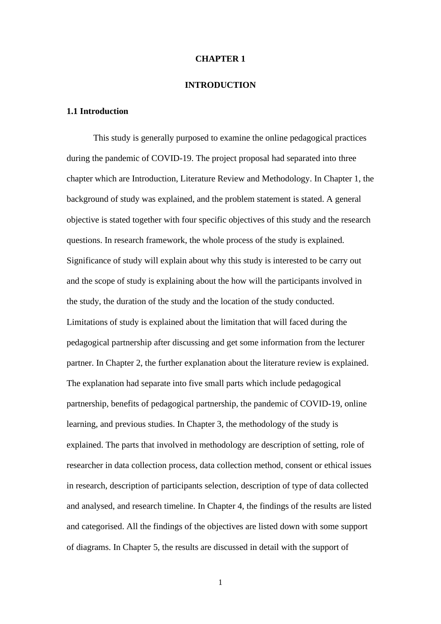#### **CHAPTER 1**

#### **INTRODUCTION**

## **1.1 Introduction**

This study is generally purposed to examine the online pedagogical practices during the pandemic of COVID-19. The project proposal had separated into three chapter which are Introduction, Literature Review and Methodology. In Chapter 1, the background of study was explained, and the problem statement is stated. A general objective is stated together with four specific objectives of this study and the research questions. In research framework, the whole process of the study is explained. Significance of study will explain about why this study is interested to be carry out and the scope of study is explaining about the how will the participants involved in the study, the duration of the study and the location of the study conducted. Limitations of study is explained about the limitation that will faced during the pedagogical partnership after discussing and get some information from the lecturer partner. In Chapter 2, the further explanation about the literature review is explained. The explanation had separate into five small parts which include pedagogical partnership, benefits of pedagogical partnership, the pandemic of COVID-19, online learning, and previous studies. In Chapter 3, the methodology of the study is explained. The parts that involved in methodology are description of setting, role of researcher in data collection process, data collection method, consent or ethical issues in research, description of participants selection, description of type of data collected and analysed, and research timeline. In Chapter 4, the findings of the results are listed and categorised. All the findings of the objectives are listed down with some support of diagrams. In Chapter 5, the results are discussed in detail with the support of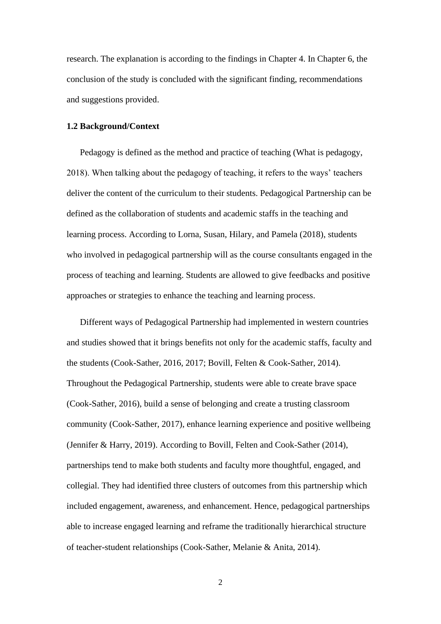research. The explanation is according to the findings in Chapter 4. In Chapter 6, the conclusion of the study is concluded with the significant finding, recommendations and suggestions provided.

# **1.2 Background/Context**

Pedagogy is defined as the method and practice of teaching (What is pedagogy, 2018). When talking about the pedagogy of teaching, it refers to the ways' teachers deliver the content of the curriculum to their students. Pedagogical Partnership can be defined as the collaboration of students and academic staffs in the teaching and learning process. According to Lorna, Susan, Hilary, and Pamela (2018), students who involved in pedagogical partnership will as the course consultants engaged in the process of teaching and learning. Students are allowed to give feedbacks and positive approaches or strategies to enhance the teaching and learning process.

Different ways of Pedagogical Partnership had implemented in western countries and studies showed that it brings benefits not only for the academic staffs, faculty and the students (Cook-Sather, 2016, 2017; Bovill, Felten & Cook-Sather, 2014). Throughout the Pedagogical Partnership, students were able to create brave space (Cook-Sather, 2016), build a sense of belonging and create a trusting classroom community (Cook-Sather, 2017), enhance learning experience and positive wellbeing (Jennifer & Harry, 2019). According to Bovill, Felten and Cook-Sather (2014), partnerships tend to make both students and faculty more thoughtful, engaged, and collegial. They had identified three clusters of outcomes from this partnership which included engagement, awareness, and enhancement. Hence, pedagogical partnerships able to increase engaged learning and reframe the traditionally hierarchical structure of teacher-student relationships (Cook-Sather, Melanie & Anita, 2014).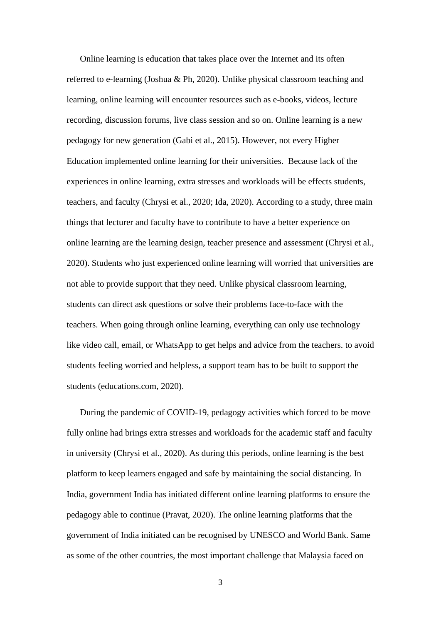Online learning is education that takes place over the Internet and its often referred to e-learning (Joshua & Ph, 2020). Unlike physical classroom teaching and learning, online learning will encounter resources such as e-books, videos, lecture recording, discussion forums, live class session and so on. Online learning is a new pedagogy for new generation (Gabi et al., 2015). However, not every Higher Education implemented online learning for their universities. Because lack of the experiences in online learning, extra stresses and workloads will be effects students, teachers, and faculty (Chrysi et al., 2020; Ida, 2020). According to a study, three main things that lecturer and faculty have to contribute to have a better experience on online learning are the learning design, teacher presence and assessment (Chrysi et al., 2020). Students who just experienced online learning will worried that universities are not able to provide support that they need. Unlike physical classroom learning, students can direct ask questions or solve their problems face-to-face with the teachers. When going through online learning, everything can only use technology like video call, email, or WhatsApp to get helps and advice from the teachers. to avoid students feeling worried and helpless, a support team has to be built to support the students (educations.com, 2020).

During the pandemic of COVID-19, pedagogy activities which forced to be move fully online had brings extra stresses and workloads for the academic staff and faculty in university (Chrysi et al., 2020). As during this periods, online learning is the best platform to keep learners engaged and safe by maintaining the social distancing. In India, government India has initiated different online learning platforms to ensure the pedagogy able to continue (Pravat, 2020). The online learning platforms that the government of India initiated can be recognised by UNESCO and World Bank. Same as some of the other countries, the most important challenge that Malaysia faced on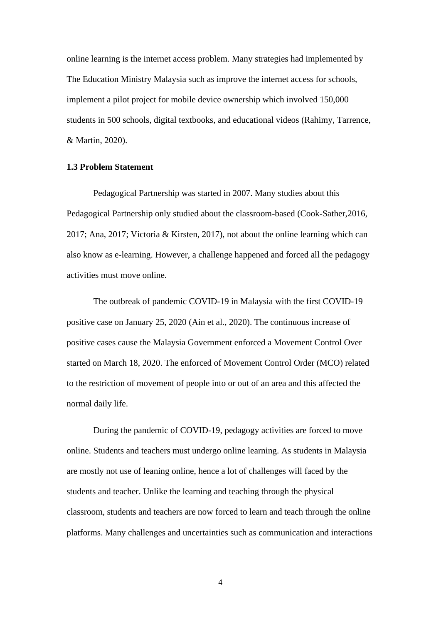online learning is the internet access problem. Many strategies had implemented by The Education Ministry Malaysia such as improve the internet access for schools, implement a pilot project for mobile device ownership which involved 150,000 students in 500 schools, digital textbooks, and educational videos (Rahimy, Tarrence, & Martin, 2020).

#### **1.3 Problem Statement**

Pedagogical Partnership was started in 2007. Many studies about this Pedagogical Partnership only studied about the classroom-based (Cook-Sather,2016, 2017; Ana, 2017; Victoria & Kirsten, 2017), not about the online learning which can also know as e-learning. However, a challenge happened and forced all the pedagogy activities must move online.

The outbreak of pandemic COVID-19 in Malaysia with the first COVID-19 positive case on January 25, 2020 (Ain et al., 2020). The continuous increase of positive cases cause the Malaysia Government enforced a Movement Control Over started on March 18, 2020. The enforced of Movement Control Order (MCO) related to the restriction of movement of people into or out of an area and this affected the normal daily life.

During the pandemic of COVID-19, pedagogy activities are forced to move online. Students and teachers must undergo online learning. As students in Malaysia are mostly not use of leaning online, hence a lot of challenges will faced by the students and teacher. Unlike the learning and teaching through the physical classroom, students and teachers are now forced to learn and teach through the online platforms. Many challenges and uncertainties such as communication and interactions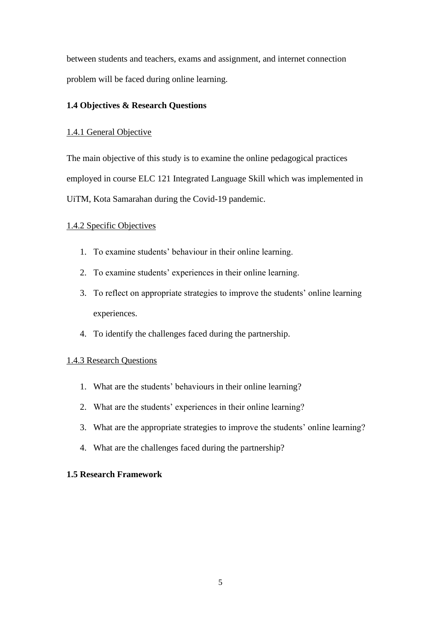between students and teachers, exams and assignment, and internet connection problem will be faced during online learning.

# **1.4 Objectives & Research Questions**

## 1.4.1 General Objective

The main objective of this study is to examine the online pedagogical practices employed in course ELC 121 Integrated Language Skill which was implemented in UiTM, Kota Samarahan during the Covid-19 pandemic.

# 1.4.2 Specific Objectives

- 1. To examine students' behaviour in their online learning.
- 2. To examine students' experiences in their online learning.
- 3. To reflect on appropriate strategies to improve the students' online learning experiences.
- 4. To identify the challenges faced during the partnership.

## 1.4.3 Research Questions

- 1. What are the students' behaviours in their online learning?
- 2. What are the students' experiences in their online learning?
- 3. What are the appropriate strategies to improve the students' online learning?
- 4. What are the challenges faced during the partnership?

## **1.5 Research Framework**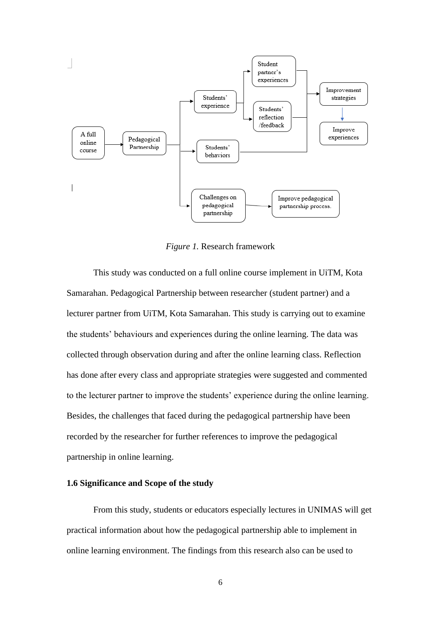

*Figure 1.* Research framework

This study was conducted on a full online course implement in UiTM, Kota Samarahan. Pedagogical Partnership between researcher (student partner) and a lecturer partner from UiTM, Kota Samarahan. This study is carrying out to examine the students' behaviours and experiences during the online learning. The data was collected through observation during and after the online learning class. Reflection has done after every class and appropriate strategies were suggested and commented to the lecturer partner to improve the students' experience during the online learning. Besides, the challenges that faced during the pedagogical partnership have been recorded by the researcher for further references to improve the pedagogical partnership in online learning.

#### **1.6 Significance and Scope of the study**

From this study, students or educators especially lectures in UNIMAS will get practical information about how the pedagogical partnership able to implement in online learning environment. The findings from this research also can be used to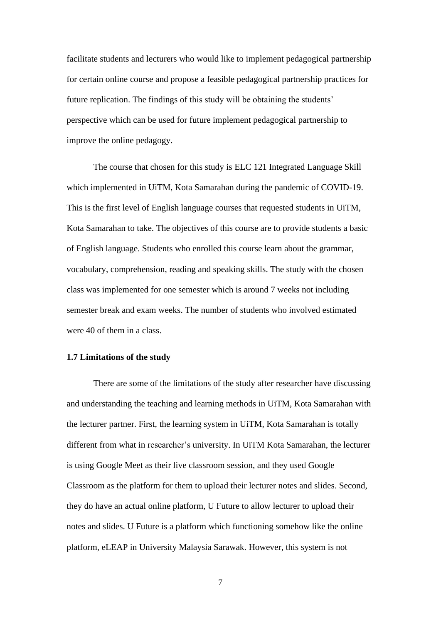facilitate students and lecturers who would like to implement pedagogical partnership for certain online course and propose a feasible pedagogical partnership practices for future replication. The findings of this study will be obtaining the students' perspective which can be used for future implement pedagogical partnership to improve the online pedagogy.

The course that chosen for this study is ELC 121 Integrated Language Skill which implemented in UiTM, Kota Samarahan during the pandemic of COVID-19. This is the first level of English language courses that requested students in UiTM, Kota Samarahan to take. The objectives of this course are to provide students a basic of English language. Students who enrolled this course learn about the grammar, vocabulary, comprehension, reading and speaking skills. The study with the chosen class was implemented for one semester which is around 7 weeks not including semester break and exam weeks. The number of students who involved estimated were 40 of them in a class.

#### **1.7 Limitations of the study**

There are some of the limitations of the study after researcher have discussing and understanding the teaching and learning methods in UiTM, Kota Samarahan with the lecturer partner. First, the learning system in UiTM, Kota Samarahan is totally different from what in researcher's university. In UiTM Kota Samarahan, the lecturer is using Google Meet as their live classroom session, and they used Google Classroom as the platform for them to upload their lecturer notes and slides. Second, they do have an actual online platform, U Future to allow lecturer to upload their notes and slides. U Future is a platform which functioning somehow like the online platform, eLEAP in University Malaysia Sarawak. However, this system is not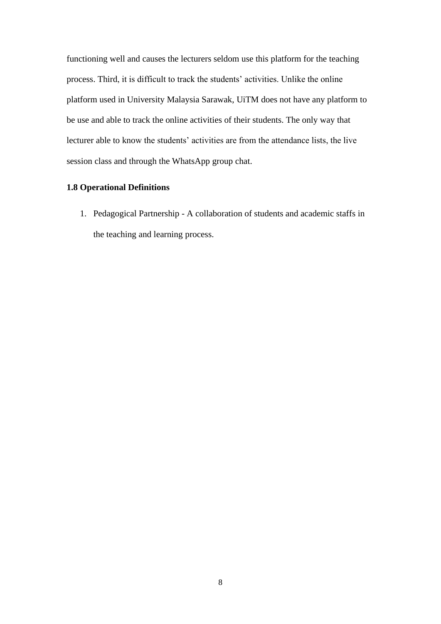functioning well and causes the lecturers seldom use this platform for the teaching process. Third, it is difficult to track the students' activities. Unlike the online platform used in University Malaysia Sarawak, UiTM does not have any platform to be use and able to track the online activities of their students. The only way that lecturer able to know the students' activities are from the attendance lists, the live session class and through the WhatsApp group chat.

#### **1.8 Operational Definitions**

1. Pedagogical Partnership - A collaboration of students and academic staffs in the teaching and learning process.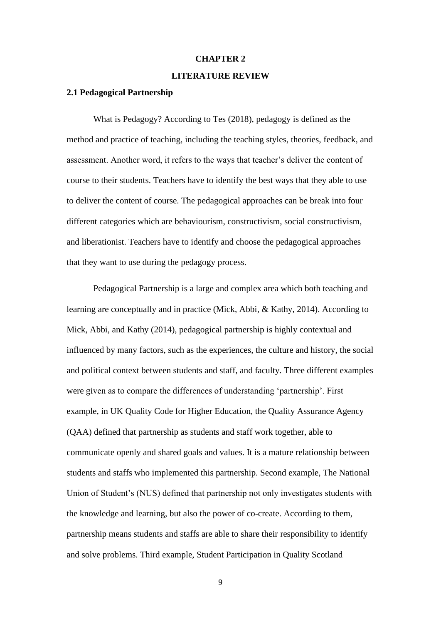#### **CHAPTER 2**

#### **LITERATURE REVIEW**

#### **2.1 Pedagogical Partnership**

What is Pedagogy? According to Tes (2018), pedagogy is defined as the method and practice of teaching, including the teaching styles, theories, feedback, and assessment. Another word, it refers to the ways that teacher's deliver the content of course to their students. Teachers have to identify the best ways that they able to use to deliver the content of course. The pedagogical approaches can be break into four different categories which are behaviourism, constructivism, social constructivism, and liberationist. Teachers have to identify and choose the pedagogical approaches that they want to use during the pedagogy process.

Pedagogical Partnership is a large and complex area which both teaching and learning are conceptually and in practice (Mick, Abbi, & Kathy, 2014). According to Mick, Abbi, and Kathy (2014), pedagogical partnership is highly contextual and influenced by many factors, such as the experiences, the culture and history, the social and political context between students and staff, and faculty. Three different examples were given as to compare the differences of understanding 'partnership'. First example, in UK Quality Code for Higher Education, the Quality Assurance Agency (QAA) defined that partnership as students and staff work together, able to communicate openly and shared goals and values. It is a mature relationship between students and staffs who implemented this partnership. Second example, The National Union of Student's (NUS) defined that partnership not only investigates students with the knowledge and learning, but also the power of co-create. According to them, partnership means students and staffs are able to share their responsibility to identify and solve problems. Third example, Student Participation in Quality Scotland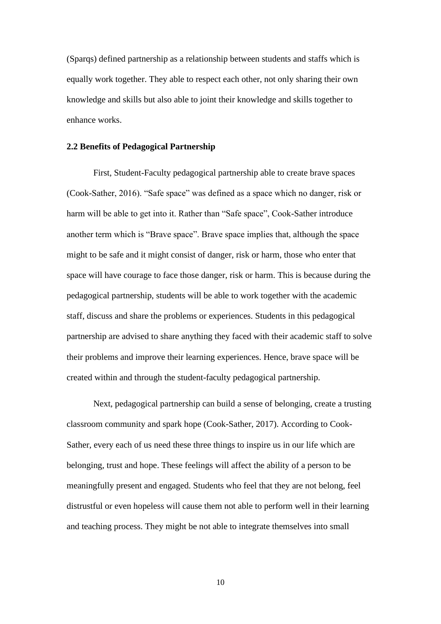(Sparqs) defined partnership as a relationship between students and staffs which is equally work together. They able to respect each other, not only sharing their own knowledge and skills but also able to joint their knowledge and skills together to enhance works.

#### **2.2 Benefits of Pedagogical Partnership**

First, Student-Faculty pedagogical partnership able to create brave spaces (Cook-Sather, 2016). "Safe space" was defined as a space which no danger, risk or harm will be able to get into it. Rather than "Safe space", Cook-Sather introduce another term which is "Brave space". Brave space implies that, although the space might to be safe and it might consist of danger, risk or harm, those who enter that space will have courage to face those danger, risk or harm. This is because during the pedagogical partnership, students will be able to work together with the academic staff, discuss and share the problems or experiences. Students in this pedagogical partnership are advised to share anything they faced with their academic staff to solve their problems and improve their learning experiences. Hence, brave space will be created within and through the student-faculty pedagogical partnership.

Next, pedagogical partnership can build a sense of belonging, create a trusting classroom community and spark hope (Cook-Sather, 2017). According to Cook-Sather, every each of us need these three things to inspire us in our life which are belonging, trust and hope. These feelings will affect the ability of a person to be meaningfully present and engaged. Students who feel that they are not belong, feel distrustful or even hopeless will cause them not able to perform well in their learning and teaching process. They might be not able to integrate themselves into small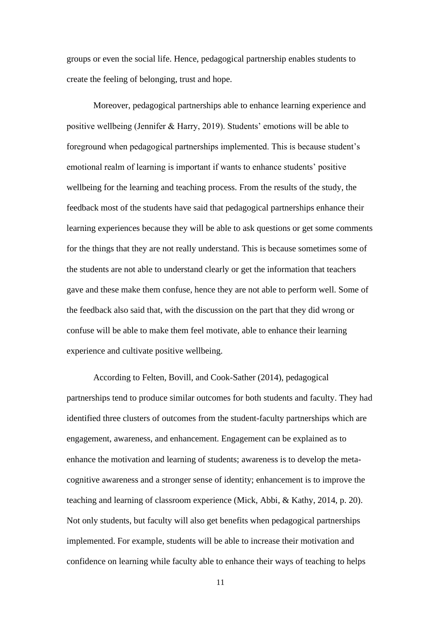groups or even the social life. Hence, pedagogical partnership enables students to create the feeling of belonging, trust and hope.

Moreover, pedagogical partnerships able to enhance learning experience and positive wellbeing (Jennifer & Harry, 2019). Students' emotions will be able to foreground when pedagogical partnerships implemented. This is because student's emotional realm of learning is important if wants to enhance students' positive wellbeing for the learning and teaching process. From the results of the study, the feedback most of the students have said that pedagogical partnerships enhance their learning experiences because they will be able to ask questions or get some comments for the things that they are not really understand. This is because sometimes some of the students are not able to understand clearly or get the information that teachers gave and these make them confuse, hence they are not able to perform well. Some of the feedback also said that, with the discussion on the part that they did wrong or confuse will be able to make them feel motivate, able to enhance their learning experience and cultivate positive wellbeing.

According to Felten, Bovill, and Cook-Sather (2014), pedagogical partnerships tend to produce similar outcomes for both students and faculty. They had identified three clusters of outcomes from the student-faculty partnerships which are engagement, awareness, and enhancement. Engagement can be explained as to enhance the motivation and learning of students; awareness is to develop the metacognitive awareness and a stronger sense of identity; enhancement is to improve the teaching and learning of classroom experience (Mick, Abbi, & Kathy, 2014, p. 20). Not only students, but faculty will also get benefits when pedagogical partnerships implemented. For example, students will be able to increase their motivation and confidence on learning while faculty able to enhance their ways of teaching to helps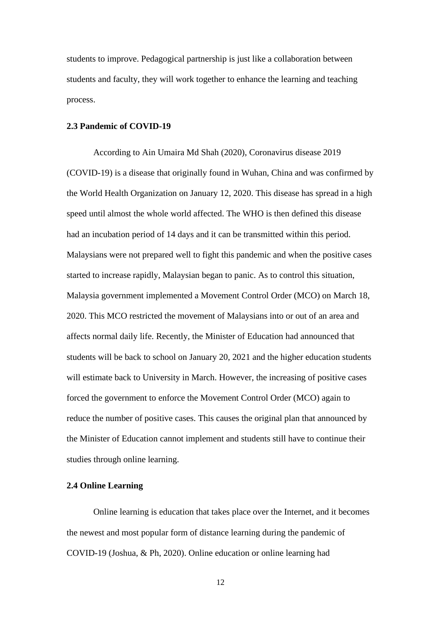students to improve. Pedagogical partnership is just like a collaboration between students and faculty, they will work together to enhance the learning and teaching process.

#### **2.3 Pandemic of COVID-19**

According to Ain Umaira Md Shah (2020), Coronavirus disease 2019 (COVID-19) is a disease that originally found in Wuhan, China and was confirmed by the World Health Organization on January 12, 2020. This disease has spread in a high speed until almost the whole world affected. The WHO is then defined this disease had an incubation period of 14 days and it can be transmitted within this period. Malaysians were not prepared well to fight this pandemic and when the positive cases started to increase rapidly, Malaysian began to panic. As to control this situation, Malaysia government implemented a Movement Control Order (MCO) on March 18, 2020. This MCO restricted the movement of Malaysians into or out of an area and affects normal daily life. Recently, the Minister of Education had announced that students will be back to school on January 20, 2021 and the higher education students will estimate back to University in March. However, the increasing of positive cases forced the government to enforce the Movement Control Order (MCO) again to reduce the number of positive cases. This causes the original plan that announced by the Minister of Education cannot implement and students still have to continue their studies through online learning.

#### **2.4 Online Learning**

Online learning is education that takes place over the Internet, and it becomes the newest and most popular form of distance learning during the pandemic of COVID-19 (Joshua, & Ph, 2020). Online education or online learning had